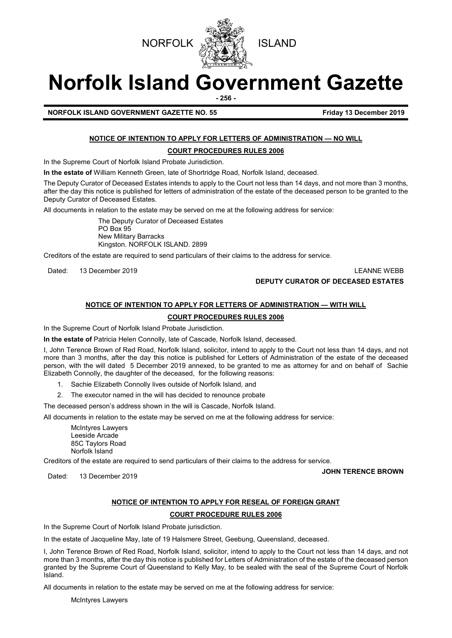



# **Norfolk Island Government Gazette**

**- 256 -**

**NORFOLK ISLAND GOVERNMENT GAZETTE NO. 55 FIGULARY 13 December 2019** 

## **NOTICE OF INTENTION TO APPLY FOR LETTERS OF ADMINISTRATION — NO WILL**

## **COURT PROCEDURES RULES 2006**

In the Supreme Court of Norfolk Island Probate Jurisdiction.

**In the estate of** William Kenneth Green, late of Shortridge Road, Norfolk Island, deceased.

The Deputy Curator of Deceased Estates intends to apply to the Court not less than 14 days, and not more than 3 months, after the day this notice is published for letters of administration of the estate of the deceased person to be granted to the Deputy Curator of Deceased Estates.

All documents in relation to the estate may be served on me at the following address for service:

The Deputy Curator of Deceased Estates PO Box 95 New Military Barracks Kingston. NORFOLK ISLAND. 2899

Creditors of the estate are required to send particulars of their claims to the address for service.

Dated: 13 December 2019 LEANNE WEBB **DEPUTY CURATOR OF DECEASED ESTATES**

## **NOTICE OF INTENTION TO APPLY FOR LETTERS OF ADMINISTRATION — WITH WILL**

## **COURT PROCEDURES RULES 2006**

In the Supreme Court of Norfolk Island Probate Jurisdiction.

**In the estate of** Patricia Helen Connolly, late of Cascade, Norfolk Island, deceased.

I, John Terence Brown of Red Road, Norfolk Island, solicitor, intend to apply to the Court not less than 14 days, and not more than 3 months, after the day this notice is published for Letters of Administration of the estate of the deceased person, with the will dated 5 December 2019 annexed, to be granted to me as attorney for and on behalf of Sachie Elizabeth Connolly, the daughter of the deceased, for the following reasons:

- 1. Sachie Elizabeth Connolly lives outside of Norfolk Island, and
- 2. The executor named in the will has decided to renounce probate

The deceased person's address shown in the will is Cascade, Norfolk Island.

All documents in relation to the estate may be served on me at the following address for service:

McIntyres Lawyers Leeside Arcade 85C Taylors Road Norfolk Island

Creditors of the estate are required to send particulars of their claims to the address for service.

Dated: 13 December 2019 **JOHN TERENCE BROWN**

## **NOTICE OF INTENTION TO APPLY FOR RESEAL OF FOREIGN GRANT**

## **COURT PROCEDURE RULES 2006**

In the Supreme Court of Norfolk Island Probate jurisdiction.

In the estate of Jacqueline May, late of 19 Halsmere Street, Geebung, Queensland, deceased.

I, John Terence Brown of Red Road, Norfolk Island, solicitor, intend to apply to the Court not less than 14 days, and not more than 3 months, after the day this notice is published for Letters of Administration of the estate of the deceased person granted by the Supreme Court of Queensland to Kelly May, to be sealed with the seal of the Supreme Court of Norfolk Island.

All documents in relation to the estate may be served on me at the following address for service:

McIntyres Lawyers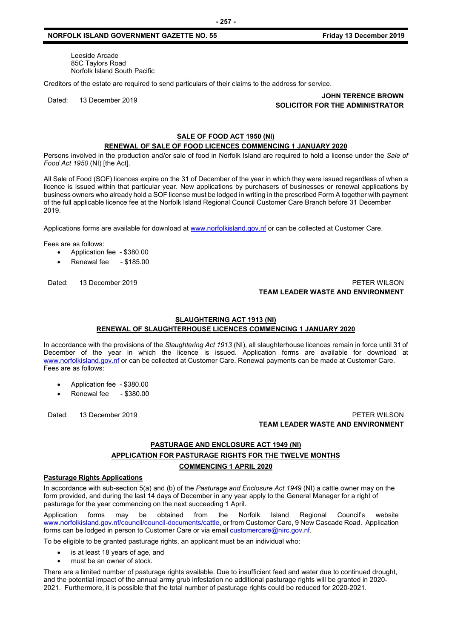#### **NORFOLK ISLAND GOVERNMENT GAZETTE NO. 55 Friday 13 December 2019**

Leeside Arcade 85C Taylors Road Norfolk Island South Pacific

Creditors of the estate are required to send particulars of their claims to the address for service.

#### Dated: 13 December 2019 **JOHN TERENCE BROWN SOLICITOR FOR THE ADMINISTRATOR**

## **SALE OF FOOD ACT 1950 (NI)**

## **RENEWAL OF SALE OF FOOD LICENCES COMMENCING 1 JANUARY 2020**

Persons involved in the production and/or sale of food in Norfolk Island are required to hold a license under the *Sale of Food Act 1950* (NI) [the Act].

All Sale of Food (SOF) licences expire on the 31 of December of the year in which they were issued regardless of when a licence is issued within that particular year. New applications by purchasers of businesses or renewal applications by business owners who already hold a SOF license must be lodged in writing in the prescribed Form A together with payment of the full applicable licence fee at the Norfolk Island Regional Council Customer Care Branch before 31 December 2019.

Applications forms are available for download at [www.norfolkisland.gov.nf](http://www.norfolkisland.gov.nf/) or can be collected at Customer Care.

Fees are as follows:

- Application fee \$380.00
- Renewal fee \$185.00

## Dated: 13 December 2019 **PETER WILSON TEAM LEADER WASTE AND ENVIRONMENT**

## **SLAUGHTERING ACT 1913 (NI) RENEWAL OF SLAUGHTERHOUSE LICENCES COMMENCING 1 JANUARY 2020**

In accordance with the provisions of the *Slaughtering Act 1913* (NI), all slaughterhouse licences remain in force until 31 of December of the year in which the licence is issued. Application forms are available for download at [www.norfolkisland.gov.nf](http://www.norfolkisland.gov.nf/) or can be collected at Customer Care. Renewal payments can be made at Customer Care. Fees are as follows:

- Application fee \$380.00
- Renewal fee \$380.00

## Dated: 13 December 2019 PETER WILSON **TEAM LEADER WASTE AND ENVIRONMENT**

## **PASTURAGE AND ENCLOSURE ACT 1949 (NI) APPLICATION FOR PASTURAGE RIGHTS FOR THE TWELVE MONTHS COMMENCING 1 APRIL 2020**

#### **Pasturage Rights Applications**

In accordance with sub-section 5(a) and (b) of the *Pasturage and Enclosure Act 1949* (NI) a cattle owner may on the form provided, and during the last 14 days of December in any year apply to the General Manager for a right of pasturage for the year commencing on the next succeeding 1 April.

Application forms may be obtained from the Norfolk Island Regional Council's website www.norfolkisland.gov.nf/council/council-documents/cattle, or from Customer Care, 9 New Cascade Road. Application forms can be lodged in person to Customer Care or via email [customercare@nirc.gov.nf.](mailto:customercare@nirc.gov.nf)

To be eligible to be granted pasturage rights, an applicant must be an individual who:

- is at least 18 years of age, and
- must be an owner of stock.

There are a limited number of pasturage rights available. Due to insufficient feed and water due to continued drought, and the potential impact of the annual army grub infestation no additional pasturage rights will be granted in 2020- 2021. Furthermore, it is possible that the total number of pasturage rights could be reduced for 2020-2021.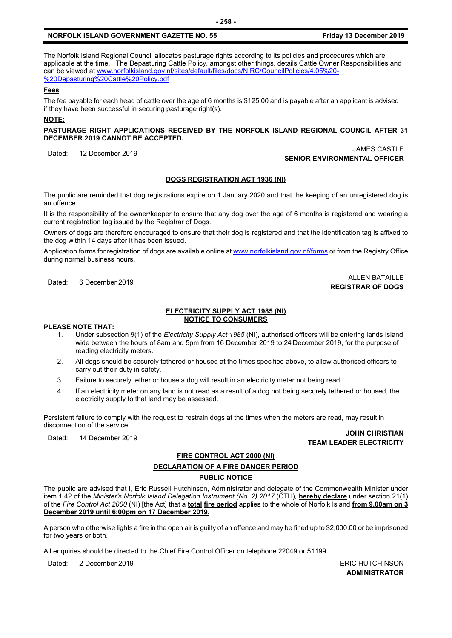#### **NORFOLK ISLAND GOVERNMENT GAZETTE NO. 55 Friday 13 December 2019**

The Norfolk Island Regional Council allocates pasturage rights according to its policies and procedures which are applicable at the time. The Depasturing Cattle Policy, amongst other things, details Cattle Owner Responsibilities and can be viewed a[t www.norfolkisland.gov.nf/sites/default/files/docs/NIRC/CouncilPolicies/4.05%20-](http://www.norfolkisland.gov.nf/sites/default/files/docs/NIRC/CouncilPolicies/4.05%20-%20Depasturing%20Cattle%20Policy.pdf) [%20Depasturing%20Cattle%20Policy.pdf](http://www.norfolkisland.gov.nf/sites/default/files/docs/NIRC/CouncilPolicies/4.05%20-%20Depasturing%20Cattle%20Policy.pdf)

## **Fees**

The fee payable for each head of cattle over the age of 6 months is \$125.00 and is payable after an applicant is advised if they have been successful in securing pasturage right(s).

#### **NOTE:**

**PASTURAGE RIGHT APPLICATIONS RECEIVED BY THE NORFOLK ISLAND REGIONAL COUNCIL AFTER 31 DECEMBER 2019 CANNOT BE ACCEPTED.**

## Dated: 12 December 2019 JAMES CASTLE **SENIOR ENVIRONMENTAL OFFICER**

## **DOGS REGISTRATION ACT 1936 (NI)**

The public are reminded that dog registrations expire on 1 January 2020 and that the keeping of an unregistered dog is an offence.

It is the responsibility of the owner/keeper to ensure that any dog over the age of 6 months is registered and wearing a current registration tag issued by the Registrar of Dogs.

Owners of dogs are therefore encouraged to ensure that their dog is registered and that the identification tag is affixed to the dog within 14 days after it has been issued.

Application forms for registration of dogs are available online a[t www.norfolkisland.gov.nf/forms](http://www.norfolkisland.gov.nf/forms) or from the Registry Office during normal business hours.

#### Dated: 6 December 2019 ALLEN BATAILLE **REGISTRAR OF DOGS**

#### **ELECTRICITY SUPPLY ACT 1985 (NI) NOTICE TO CONSUMERS**

#### **PLEASE NOTE THAT:**

- 1. Under subsection 9(1) of the *Electricity Supply Act 1985* (NI), authorised officers will be entering lands Island wide between the hours of 8am and 5pm from 16 December 2019 to 24 December 2019, for the purpose of reading electricity meters.
- 2. All dogs should be securely tethered or housed at the times specified above, to allow authorised officers to carry out their duty in safety.
- 3. Failure to securely tether or house a dog will result in an electricity meter not being read.
- 4. If an electricity meter on any land is not read as a result of a dog not being securely tethered or housed, the electricity supply to that land may be assessed.

Persistent failure to comply with the request to restrain dogs at the times when the meters are read, may result in disconnection of the service.

#### Dated: 14 December 2019 **JOHN CHRISTIAN TEAM LEADER ELECTRICITY**

## **FIRE CONTROL ACT 2000 (NI) DECLARATION OF A FIRE DANGER PERIOD PUBLIC NOTICE**

The public are advised that I, Eric Russell Hutchinson, Administrator and delegate of the Commonwealth Minister under item 1.42 of the *Minister's Norfolk Island Delegation Instrument (No. 2) 2017* (CTH)*,* **hereby declare** under section 21(1) of the *Fire Control Act 2000* (NI) [the Act] that a **total fire period** applies to the whole of Norfolk Island **from 9.00am on 3 December 2019 until 6:00pm on 17 December 2019.**

A person who otherwise lights a fire in the open air is guilty of an offence and may be fined up to \$2,000.00 or be imprisoned for two years or both.

All enquiries should be directed to the Chief Fire Control Officer on telephone 22049 or 51199.

Dated: 2 December 2019 **ERIC HUTCHINSON** 

**ADMINISTRATOR**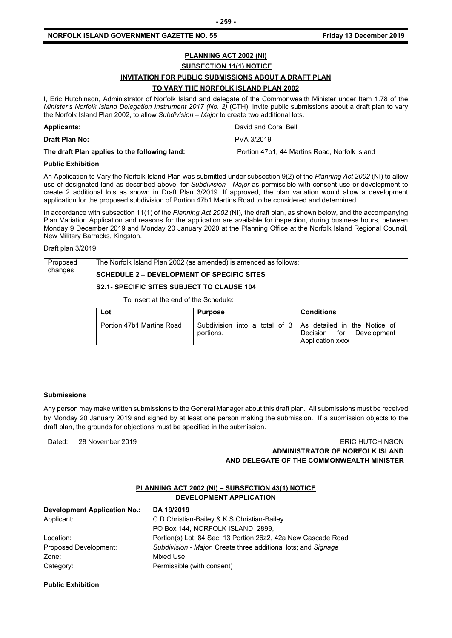## **PLANNING ACT 2002 (NI) SUBSECTION 11(1) NOTICE INVITATION FOR PUBLIC SUBMISSIONS ABOUT A DRAFT PLAN TO VARY THE NORFOLK ISLAND PLAN 2002**

I, Eric Hutchinson, Administrator of Norfolk Island and delegate of the Commonwealth Minister under Item 1.78 of the *Minister's Norfolk Island Delegation Instrument 2017 (No. 2)* (CTH), invite public submissions about a draft plan to vary the Norfolk Island Plan 2002, to allow *Subdivision – Major* to create two additional lots.

| <b>Applicants:</b>                            | David and Coral Bell                          |
|-----------------------------------------------|-----------------------------------------------|
| Draft Plan No:                                | PVA 3/2019                                    |
| The draft Plan applies to the following land: | Portion 47b1, 44 Martins Road, Norfolk Island |

#### **Public Exhibition**

An Application to Vary the Norfolk Island Plan was submitted under subsection 9(2) of the *Planning Act 2002* (NI) to allow use of designated land as described above, for *Subdivision - Major* as permissible with consent use or development to create 2 additional lots as shown in Draft Plan 3/2019. If approved, the plan variation would allow a development application for the proposed subdivision of Portion 47b1 Martins Road to be considered and determined.

In accordance with subsection 11(1) of the *Planning Act 2002* (NI)*,* the draft plan, as shown below, and the accompanying Plan Variation Application and reasons for the application are available for inspection, during business hours, between Monday 9 December 2019 and Monday 20 January 2020 at the Planning Office at the Norfolk Island Regional Council, New Military Barracks, Kingston.

Draft plan 3/2019

| Proposed<br>changes | The Norfolk Island Plan 2002 (as amended) is amended as follows: |                                            |                                                                                        |  |
|---------------------|------------------------------------------------------------------|--------------------------------------------|----------------------------------------------------------------------------------------|--|
|                     | <b>SCHEDULE 2 – DEVELOPMENT OF SPECIFIC SITES</b>                |                                            |                                                                                        |  |
|                     | <b>S2.1- SPECIFIC SITES SUBJECT TO CLAUSE 104</b>                |                                            |                                                                                        |  |
|                     | To insert at the end of the Schedule:                            |                                            |                                                                                        |  |
|                     | Lot                                                              | <b>Purpose</b>                             | <b>Conditions</b>                                                                      |  |
|                     | Portion 47b1 Martins Road                                        | Subdivision into a total of 3<br>portions. | As detailed in the Notice of<br>Decision for<br>Development<br><b>Application xxxx</b> |  |
|                     |                                                                  |                                            |                                                                                        |  |
|                     |                                                                  |                                            |                                                                                        |  |

#### **Submissions**

Any person may make written submissions to the General Manager about this draft plan. All submissions must be received by Monday 20 January 2019 and signed by at least one person making the submission. If a submission objects to the draft plan, the grounds for objections must be specified in the submission.

## Dated: 28 November 2019 ERIC HUTCHINSON **ADMINISTRATOR OF NORFOLK ISLAND AND DELEGATE OF THE COMMONWEALTH MINISTER**

## **PLANNING ACT 2002 (NI) – SUBSECTION 43(1) NOTICE DEVELOPMENT APPLICATION**

| DA 19/2019                                                     |
|----------------------------------------------------------------|
| C D Christian-Bailey & K S Christian-Bailey                    |
| PO Box 144, NORFOLK ISLAND 2899,                               |
| Portion(s) Lot: 84 Sec: 13 Portion 26z2, 42a New Cascade Road  |
| Subdivision - Major: Create three additional lots; and Signage |
| Mixed Use                                                      |
| Permissible (with consent)                                     |
|                                                                |

#### **Public Exhibition**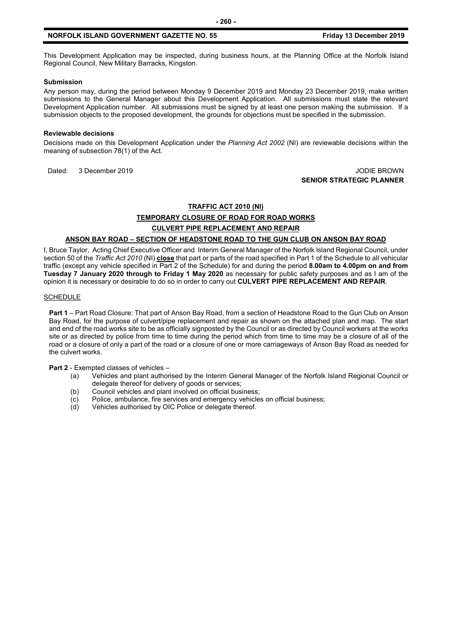This Development Application may be inspected, during business hours, at the Planning Office at the Norfolk Island Regional Council, New Military Barracks, Kingston.

#### **Submission**

Any person may, during the period between Monday 9 December 2019 and Monday 23 December 2019, make written submissions to the General Manager about this Development Application. All submissions must state the relevant Development Application number. All submissions must be signed by at least one person making the submission. If a submission objects to the proposed development, the grounds for objections must be specified in the submission.

#### **Reviewable decisions**

Decisions made on this Development Application under the *Planning Act 2002* (NI) are reviewable decisions within the meaning of subsection 78(1) of the Act.

Dated: 3 December 2019 JODIE BROWN

**SENIOR STRATEGIC PLANNER**

#### **TRAFFIC ACT 2010 (NI)**

**TEMPORARY CLOSURE OF ROAD FOR ROAD WORKS** 

#### **CULVERT PIPE REPLACEMENT AND REPAIR**

#### **ANSON BAY ROAD – SECTION OF HEADSTONE ROAD TO THE GUN CLUB ON ANSON BAY ROAD**

I, Bruce Taylor, Acting Chief Executive Officer and Interim General Manager of the Norfolk Island Regional Council, under section 50 of the *Traffic Act 2010* (NI) **close** that part or parts of the road specified in Part 1 of the Schedule to all vehicular traffic (except any vehicle specified in Part 2 of the Schedule) for and during the period **8.00am to 4.00pm on and from Tuesday 7 January 2020 through to Friday 1 May 2020** as necessary for public safety purposes and as I am of the opinion it is necessary or desirable to do so in order to carry out **CULVERT PIPE REPLACEMENT AND REPAIR**.

#### **SCHEDULE**

**Part 1** – Part Road Closure: That part of Anson Bay Road, from a section of Headstone Road to the Gun Club on Anson Bay Road, for the purpose of culvert/pipe replacement and repair as shown on the attached plan and map. The start and end of the road works site to be as officially signposted by the Council or as directed by Council workers at the works site or as directed by police from time to time during the period which from time to time may be a closure of all of the road or a closure of only a part of the road or a closure of one or more carriageways of Anson Bay Road as needed for the culvert works.

**Part 2** - Exempted classes of vehicles –

- (a) Vehicles and plant authorised by the Interim General Manager of the Norfolk Island Regional Council or delegate thereof for delivery of goods or services;
- (b) Council vehicles and plant involved on official business;
- (c) Police, ambulance, fire services and emergency vehicles on official business;<br>(d) Vehicles authorised by OIC Police or delegate thereof.
- Vehicles authorised by OIC Police or delegate thereof.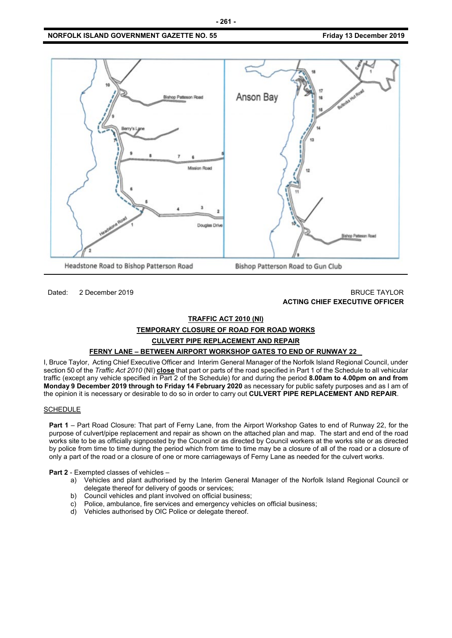## **NORFOLK ISLAND GOVERNMENT GAZETTE NO. 55 FIGULARY 13 December 2019**



## Dated: 2 December 2019 **BRUCE TAYLOR ACTING CHIEF EXECUTIVE OFFICER**

## **TRAFFIC ACT 2010 (NI)**

## **TEMPORARY CLOSURE OF ROAD FOR ROAD WORKS**

## **CULVERT PIPE REPLACEMENT AND REPAIR**

## **FERNY LANE – BETWEEN AIRPORT WORKSHOP GATES TO END OF RUNWAY 22**

I, Bruce Taylor, Acting Chief Executive Officer and Interim General Manager of the Norfolk Island Regional Council, under section 50 of the *Traffic Act 2010* (NI) **close** that part or parts of the road specified in Part 1 of the Schedule to all vehicular traffic (except any vehicle specified in Part 2 of the Schedule) for and during the period **8.00am to 4.00pm on and from Monday 9 December 2019 through to Friday 14 February 2020** as necessary for public safety purposes and as I am of the opinion it is necessary or desirable to do so in order to carry out **CULVERT PIPE REPLACEMENT AND REPAIR**.

#### **SCHEDULE**

**Part 1** – Part Road Closure: That part of Ferny Lane, from the Airport Workshop Gates to end of Runway 22, for the purpose of culvert/pipe replacement and repair as shown on the attached plan and map. The start and end of the road works site to be as officially signposted by the Council or as directed by Council workers at the works site or as directed by police from time to time during the period which from time to time may be a closure of all of the road or a closure of only a part of the road or a closure of one or more carriageways of Ferny Lane as needed for the culvert works.

**Part 2** - Exempted classes of vehicles –

- a) Vehicles and plant authorised by the Interim General Manager of the Norfolk Island Regional Council or delegate thereof for delivery of goods or services;
- b) Council vehicles and plant involved on official business;
- c) Police, ambulance, fire services and emergency vehicles on official business;
- d) Vehicles authorised by OIC Police or delegate thereof.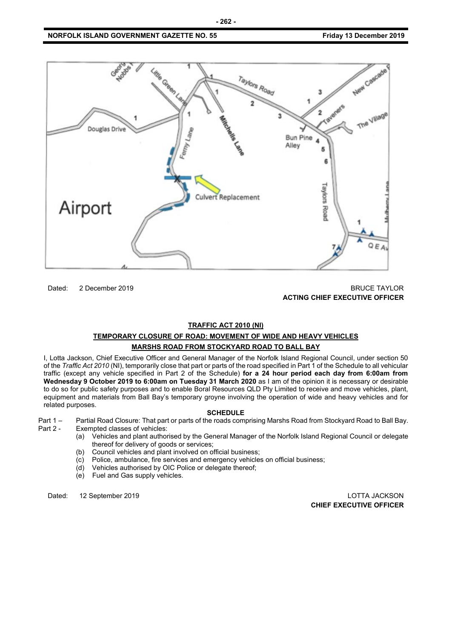

Dated: 2 December 2019 BRUCE TAYLOR **ACTING CHIEF EXECUTIVE OFFICER**

#### **TRAFFIC ACT 2010 (NI)**

## **TEMPORARY CLOSURE OF ROAD: MOVEMENT OF WIDE AND HEAVY VEHICLES MARSHS ROAD FROM STOCKYARD ROAD TO BALL BAY**

I, Lotta Jackson, Chief Executive Officer and General Manager of the Norfolk Island Regional Council, under section 50 of the *Traffic Act 2010* (NI), temporarily close that part or parts of the road specified in Part 1 of the Schedule to all vehicular traffic (except any vehicle specified in Part 2 of the Schedule) **for a 24 hour period each day from 6:00am from Wednesday 9 October 2019 to 6:00am on Tuesday 31 March 2020** as I am of the opinion it is necessary or desirable to do so for public safety purposes and to enable Boral Resources QLD Pty Limited to receive and move vehicles, plant, equipment and materials from Ball Bay's temporary groyne involving the operation of wide and heavy vehicles and for related purposes.

#### **SCHEDULE**

Part 1 – Partial Road Closure: That part or parts of the roads comprising Marshs Road from Stockyard Road to Ball Bay.<br>Part 2 - Exempted classes of vehicles: Exempted classes of vehicles:

- (a) Vehicles and plant authorised by the General Manager of the Norfolk Island Regional Council or delegate thereof for delivery of goods or services;
- (b) Council vehicles and plant involved on official business;
- (c) Police, ambulance, fire services and emergency vehicles on official business;
- Vehicles authorised by OIC Police or delegate thereof;
- (e) Fuel and Gas supply vehicles.

Dated: 12 September 2019 LOTTA JACKSON **CHIEF EXECUTIVE OFFICER**